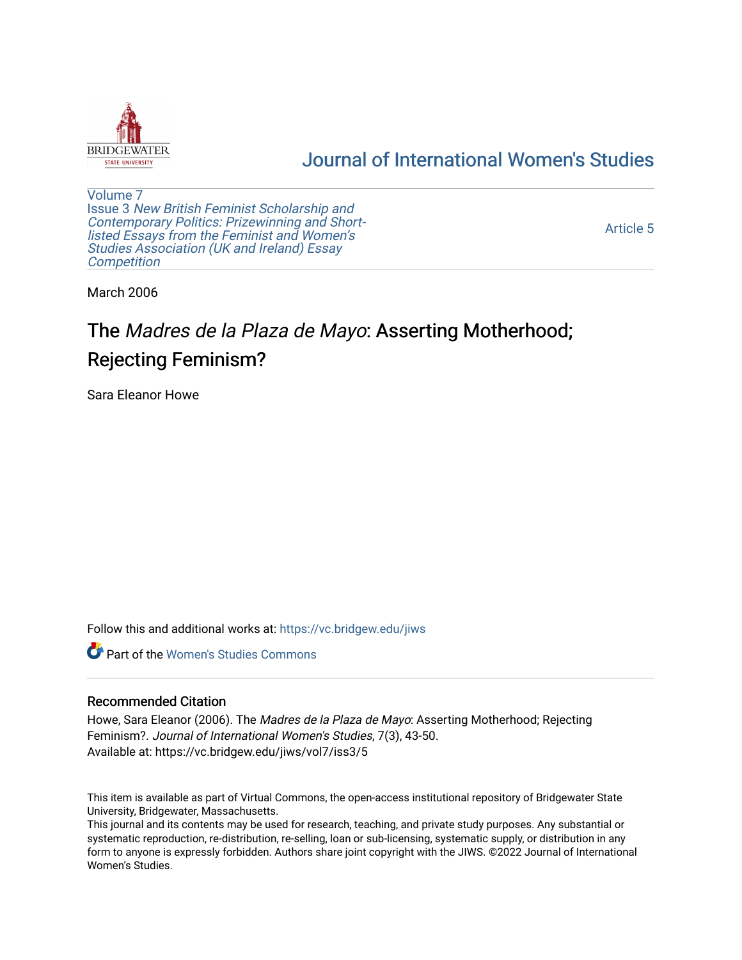

## [Journal of International Women's Studies](https://vc.bridgew.edu/jiws)

[Volume 7](https://vc.bridgew.edu/jiws/vol7) Issue 3 [New British Feminist Scholarship and](https://vc.bridgew.edu/jiws/vol7/iss3)  [Contemporary Politics: Prizewinning and Short](https://vc.bridgew.edu/jiws/vol7/iss3)[listed Essays from the Feminist and Women's](https://vc.bridgew.edu/jiws/vol7/iss3)  [Studies Association \(UK and Ireland\) Essay](https://vc.bridgew.edu/jiws/vol7/iss3)  **Competition** 

[Article 5](https://vc.bridgew.edu/jiws/vol7/iss3/5) 

March 2006

# The Madres de la Plaza de Mayo: Asserting Motherhood; Rejecting Feminism?

Sara Eleanor Howe

Follow this and additional works at: [https://vc.bridgew.edu/jiws](https://vc.bridgew.edu/jiws?utm_source=vc.bridgew.edu%2Fjiws%2Fvol7%2Fiss3%2F5&utm_medium=PDF&utm_campaign=PDFCoverPages)

**C** Part of the Women's Studies Commons

## Recommended Citation

Howe, Sara Eleanor (2006). The Madres de la Plaza de Mayo: Asserting Motherhood; Rejecting Feminism?. Journal of International Women's Studies, 7(3), 43-50. Available at: https://vc.bridgew.edu/jiws/vol7/iss3/5

This item is available as part of Virtual Commons, the open-access institutional repository of Bridgewater State University, Bridgewater, Massachusetts.

This journal and its contents may be used for research, teaching, and private study purposes. Any substantial or systematic reproduction, re-distribution, re-selling, loan or sub-licensing, systematic supply, or distribution in any form to anyone is expressly forbidden. Authors share joint copyright with the JIWS. ©2022 Journal of International Women's Studies.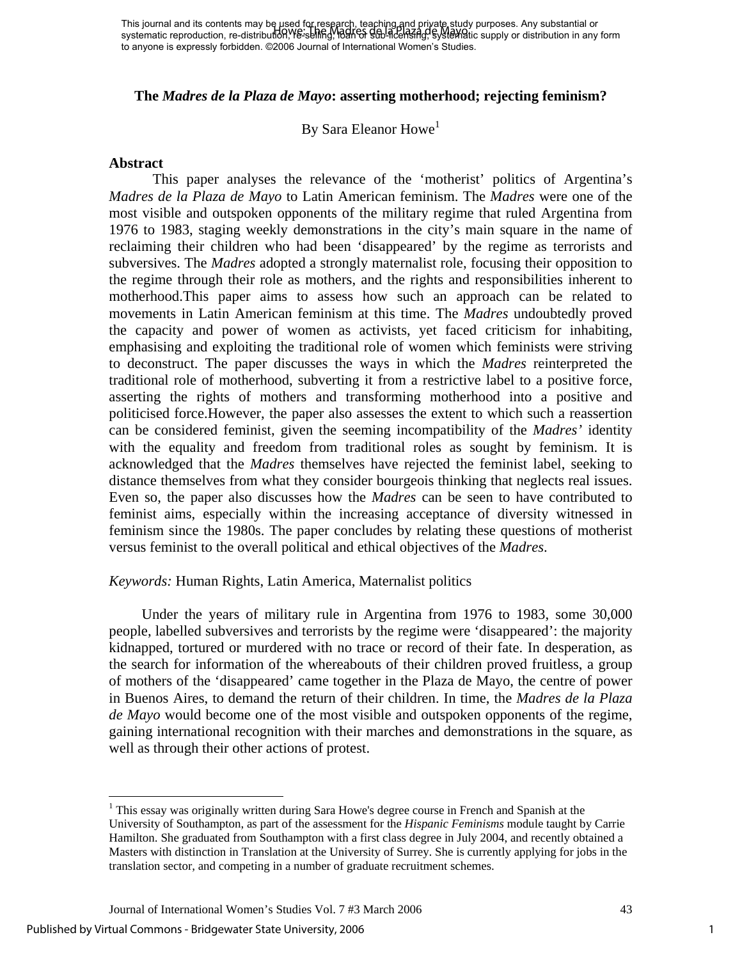## **The** *Madres de la Plaza de Mayo***: asserting motherhood; rejecting feminism?**

## By Sara Eleanor Howe<sup>[1](#page-1-0)</sup>

#### **Abstract**

This paper analyses the relevance of the 'motherist' politics of Argentina's *Madres de la Plaza de Mayo* to Latin American feminism. The *Madres* were one of the most visible and outspoken opponents of the military regime that ruled Argentina from 1976 to 1983, staging weekly demonstrations in the city's main square in the name of reclaiming their children who had been 'disappeared' by the regime as terrorists and subversives. The *Madres* adopted a strongly maternalist role, focusing their opposition to the regime through their role as mothers, and the rights and responsibilities inherent to motherhood.This paper aims to assess how such an approach can be related to movements in Latin American feminism at this time. The *Madres* undoubtedly proved the capacity and power of women as activists, yet faced criticism for inhabiting, emphasising and exploiting the traditional role of women which feminists were striving to deconstruct. The paper discusses the ways in which the *Madres* reinterpreted the traditional role of motherhood, subverting it from a restrictive label to a positive force, asserting the rights of mothers and transforming motherhood into a positive and politicised force.However, the paper also assesses the extent to which such a reassertion can be considered feminist, given the seeming incompatibility of the *Madres'* identity with the equality and freedom from traditional roles as sought by feminism. It is acknowledged that the *Madres* themselves have rejected the feminist label, seeking to distance themselves from what they consider bourgeois thinking that neglects real issues. Even so, the paper also discusses how the *Madres* can be seen to have contributed to feminist aims, especially within the increasing acceptance of diversity witnessed in feminism since the 1980s. The paper concludes by relating these questions of motherist versus feminist to the overall political and ethical objectives of the *Madres*.

## *Keywords:* Human Rights, Latin America, Maternalist politics

Under the years of military rule in Argentina from 1976 to 1983, some 30,000 people, labelled subversives and terrorists by the regime were 'disappeared': the majority kidnapped, tortured or murdered with no trace or record of their fate. In desperation, as the search for information of the whereabouts of their children proved fruitless, a group of mothers of the 'disappeared' came together in the Plaza de Mayo, the centre of power in Buenos Aires, to demand the return of their children. In time, the *Madres de la Plaza de Mayo* would become one of the most visible and outspoken opponents of the regime, gaining international recognition with their marches and demonstrations in the square, as well as through their other actions of protest.

 $\overline{a}$ 

<span id="page-1-0"></span><sup>&</sup>lt;sup>1</sup> This essay was originally written during Sara Howe's degree course in French and Spanish at the University of Southampton, as part of the assessment for the *Hispanic Feminisms* module taught by Carrie Hamilton. She graduated from Southampton with a first class degree in July 2004, and recently obtained a Masters with distinction in Translation at the University of Surrey. She is currently applying for jobs in the translation sector, and competing in a number of graduate recruitment schemes.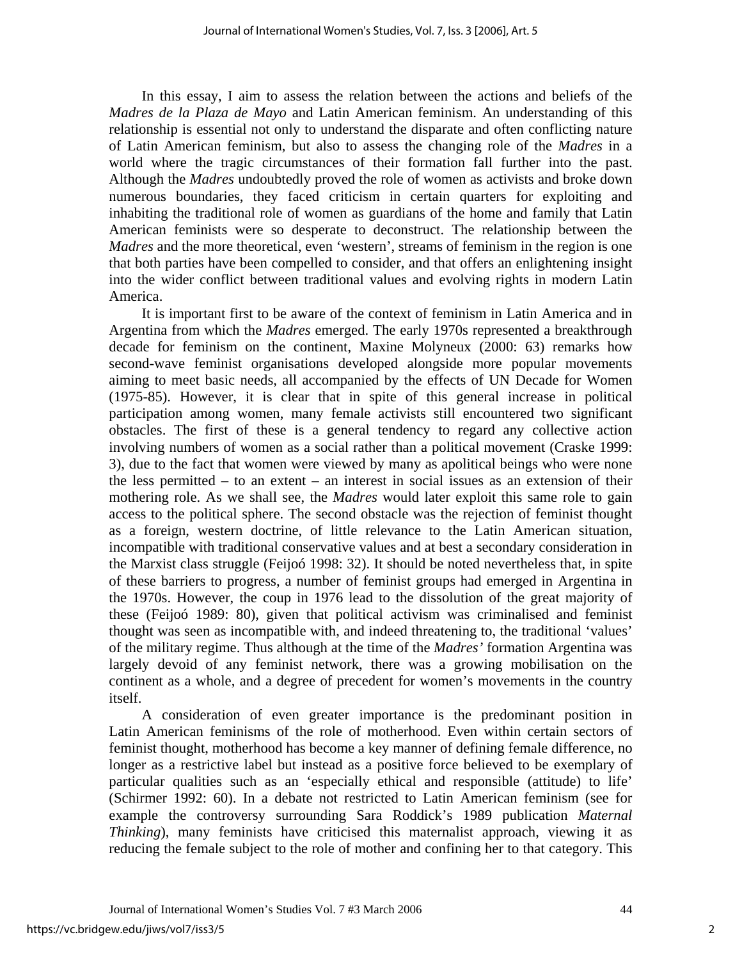In this essay, I aim to assess the relation between the actions and beliefs of the *Madres de la Plaza de Mayo* and Latin American feminism. An understanding of this relationship is essential not only to understand the disparate and often conflicting nature of Latin American feminism, but also to assess the changing role of the *Madres* in a world where the tragic circumstances of their formation fall further into the past. Although the *Madres* undoubtedly proved the role of women as activists and broke down numerous boundaries, they faced criticism in certain quarters for exploiting and inhabiting the traditional role of women as guardians of the home and family that Latin American feminists were so desperate to deconstruct. The relationship between the *Madres* and the more theoretical, even 'western', streams of feminism in the region is one that both parties have been compelled to consider, and that offers an enlightening insight into the wider conflict between traditional values and evolving rights in modern Latin America.

It is important first to be aware of the context of feminism in Latin America and in Argentina from which the *Madres* emerged. The early 1970s represented a breakthrough decade for feminism on the continent, Maxine Molyneux (2000: 63) remarks how second-wave feminist organisations developed alongside more popular movements aiming to meet basic needs, all accompanied by the effects of UN Decade for Women (1975-85). However, it is clear that in spite of this general increase in political participation among women, many female activists still encountered two significant obstacles. The first of these is a general tendency to regard any collective action involving numbers of women as a social rather than a political movement (Craske 1999: 3), due to the fact that women were viewed by many as apolitical beings who were none the less permitted – to an extent – an interest in social issues as an extension of their mothering role. As we shall see, the *Madres* would later exploit this same role to gain access to the political sphere. The second obstacle was the rejection of feminist thought as a foreign, western doctrine, of little relevance to the Latin American situation, incompatible with traditional conservative values and at best a secondary consideration in the Marxist class struggle (Feijoó 1998: 32). It should be noted nevertheless that, in spite of these barriers to progress, a number of feminist groups had emerged in Argentina in the 1970s. However, the coup in 1976 lead to the dissolution of the great majority of these (Feijoó 1989: 80), given that political activism was criminalised and feminist thought was seen as incompatible with, and indeed threatening to, the traditional 'values' of the military regime. Thus although at the time of the *Madres'* formation Argentina was largely devoid of any feminist network, there was a growing mobilisation on the continent as a whole, and a degree of precedent for women's movements in the country itself.

A consideration of even greater importance is the predominant position in Latin American feminisms of the role of motherhood. Even within certain sectors of feminist thought, motherhood has become a key manner of defining female difference, no longer as a restrictive label but instead as a positive force believed to be exemplary of particular qualities such as an 'especially ethical and responsible (attitude) to life' (Schirmer 1992: 60). In a debate not restricted to Latin American feminism (see for example the controversy surrounding Sara Roddick's 1989 publication *Maternal Thinking*), many feminists have criticised this maternalist approach, viewing it as reducing the female subject to the role of mother and confining her to that category. This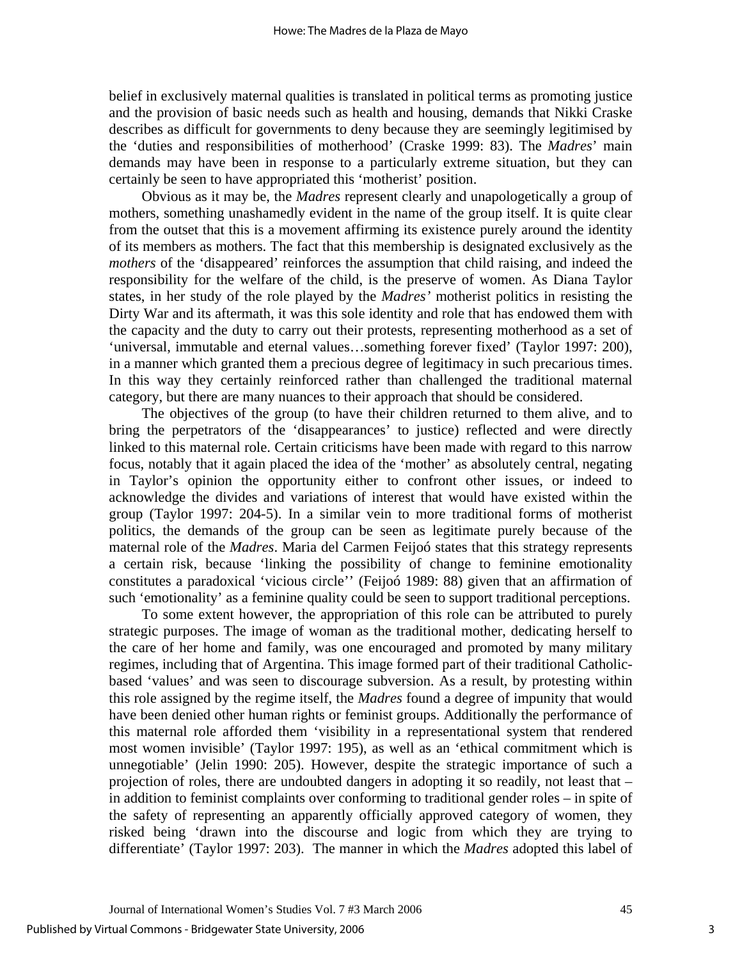belief in exclusively maternal qualities is translated in political terms as promoting justice and the provision of basic needs such as health and housing, demands that Nikki Craske describes as difficult for governments to deny because they are seemingly legitimised by the 'duties and responsibilities of motherhood' (Craske 1999: 83). The *Madres*' main demands may have been in response to a particularly extreme situation, but they can certainly be seen to have appropriated this 'motherist' position.

Obvious as it may be, the *Madres* represent clearly and unapologetically a group of mothers, something unashamedly evident in the name of the group itself. It is quite clear from the outset that this is a movement affirming its existence purely around the identity of its members as mothers. The fact that this membership is designated exclusively as the *mothers* of the 'disappeared' reinforces the assumption that child raising, and indeed the responsibility for the welfare of the child, is the preserve of women. As Diana Taylor states, in her study of the role played by the *Madres'* motherist politics in resisting the Dirty War and its aftermath, it was this sole identity and role that has endowed them with the capacity and the duty to carry out their protests, representing motherhood as a set of 'universal, immutable and eternal values…something forever fixed' (Taylor 1997: 200), in a manner which granted them a precious degree of legitimacy in such precarious times. In this way they certainly reinforced rather than challenged the traditional maternal category, but there are many nuances to their approach that should be considered.

The objectives of the group (to have their children returned to them alive, and to bring the perpetrators of the 'disappearances' to justice) reflected and were directly linked to this maternal role. Certain criticisms have been made with regard to this narrow focus, notably that it again placed the idea of the 'mother' as absolutely central, negating in Taylor's opinion the opportunity either to confront other issues, or indeed to acknowledge the divides and variations of interest that would have existed within the group (Taylor 1997: 204-5). In a similar vein to more traditional forms of motherist politics, the demands of the group can be seen as legitimate purely because of the maternal role of the *Madres*. Maria del Carmen Feijoó states that this strategy represents a certain risk, because 'linking the possibility of change to feminine emotionality constitutes a paradoxical 'vicious circle'' (Feijoó 1989: 88) given that an affirmation of such 'emotionality' as a feminine quality could be seen to support traditional perceptions.

To some extent however, the appropriation of this role can be attributed to purely strategic purposes. The image of woman as the traditional mother, dedicating herself to the care of her home and family, was one encouraged and promoted by many military regimes, including that of Argentina. This image formed part of their traditional Catholicbased 'values' and was seen to discourage subversion. As a result, by protesting within this role assigned by the regime itself, the *Madres* found a degree of impunity that would have been denied other human rights or feminist groups. Additionally the performance of this maternal role afforded them 'visibility in a representational system that rendered most women invisible' (Taylor 1997: 195), as well as an 'ethical commitment which is unnegotiable' (Jelin 1990: 205). However, despite the strategic importance of such a projection of roles, there are undoubted dangers in adopting it so readily, not least that – in addition to feminist complaints over conforming to traditional gender roles – in spite of the safety of representing an apparently officially approved category of women, they risked being 'drawn into the discourse and logic from which they are trying to differentiate' (Taylor 1997: 203). The manner in which the *Madres* adopted this label of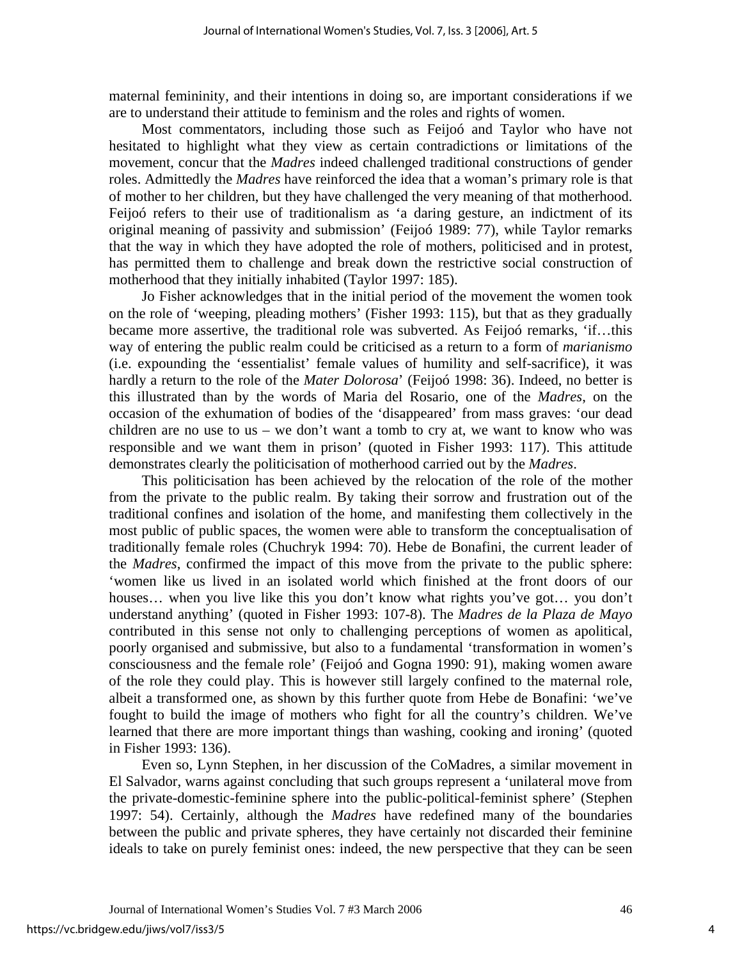maternal femininity, and their intentions in doing so, are important considerations if we are to understand their attitude to feminism and the roles and rights of women.

Most commentators, including those such as Feijoó and Taylor who have not hesitated to highlight what they view as certain contradictions or limitations of the movement, concur that the *Madres* indeed challenged traditional constructions of gender roles. Admittedly the *Madres* have reinforced the idea that a woman's primary role is that of mother to her children, but they have challenged the very meaning of that motherhood. Feijoó refers to their use of traditionalism as 'a daring gesture, an indictment of its original meaning of passivity and submission' (Feijoó 1989: 77), while Taylor remarks that the way in which they have adopted the role of mothers, politicised and in protest, has permitted them to challenge and break down the restrictive social construction of motherhood that they initially inhabited (Taylor 1997: 185).

Jo Fisher acknowledges that in the initial period of the movement the women took on the role of 'weeping, pleading mothers' (Fisher 1993: 115), but that as they gradually became more assertive, the traditional role was subverted. As Feijoó remarks, 'if...this way of entering the public realm could be criticised as a return to a form of *marianismo* (i.e. expounding the 'essentialist' female values of humility and self-sacrifice), it was hardly a return to the role of the *Mater Dolorosa*' (Feijoó 1998: 36). Indeed, no better is this illustrated than by the words of Maria del Rosario, one of the *Madres*, on the occasion of the exhumation of bodies of the 'disappeared' from mass graves: 'our dead children are no use to us – we don't want a tomb to cry at, we want to know who was responsible and we want them in prison' (quoted in Fisher 1993: 117). This attitude demonstrates clearly the politicisation of motherhood carried out by the *Madres*.

This politicisation has been achieved by the relocation of the role of the mother from the private to the public realm. By taking their sorrow and frustration out of the traditional confines and isolation of the home, and manifesting them collectively in the most public of public spaces, the women were able to transform the conceptualisation of traditionally female roles (Chuchryk 1994: 70). Hebe de Bonafini, the current leader of the *Madres*, confirmed the impact of this move from the private to the public sphere: 'women like us lived in an isolated world which finished at the front doors of our houses… when you live like this you don't know what rights you've got… you don't understand anything' (quoted in Fisher 1993: 107-8). The *Madres de la Plaza de Mayo*  contributed in this sense not only to challenging perceptions of women as apolitical, poorly organised and submissive, but also to a fundamental 'transformation in women's consciousness and the female role' (Feijoó and Gogna 1990: 91), making women aware of the role they could play. This is however still largely confined to the maternal role, albeit a transformed one, as shown by this further quote from Hebe de Bonafini: 'we've fought to build the image of mothers who fight for all the country's children. We've learned that there are more important things than washing, cooking and ironing' (quoted in Fisher 1993: 136).

Even so, Lynn Stephen, in her discussion of the CoMadres, a similar movement in El Salvador, warns against concluding that such groups represent a 'unilateral move from the private-domestic-feminine sphere into the public-political-feminist sphere' (Stephen 1997: 54). Certainly, although the *Madres* have redefined many of the boundaries between the public and private spheres, they have certainly not discarded their feminine ideals to take on purely feminist ones: indeed, the new perspective that they can be seen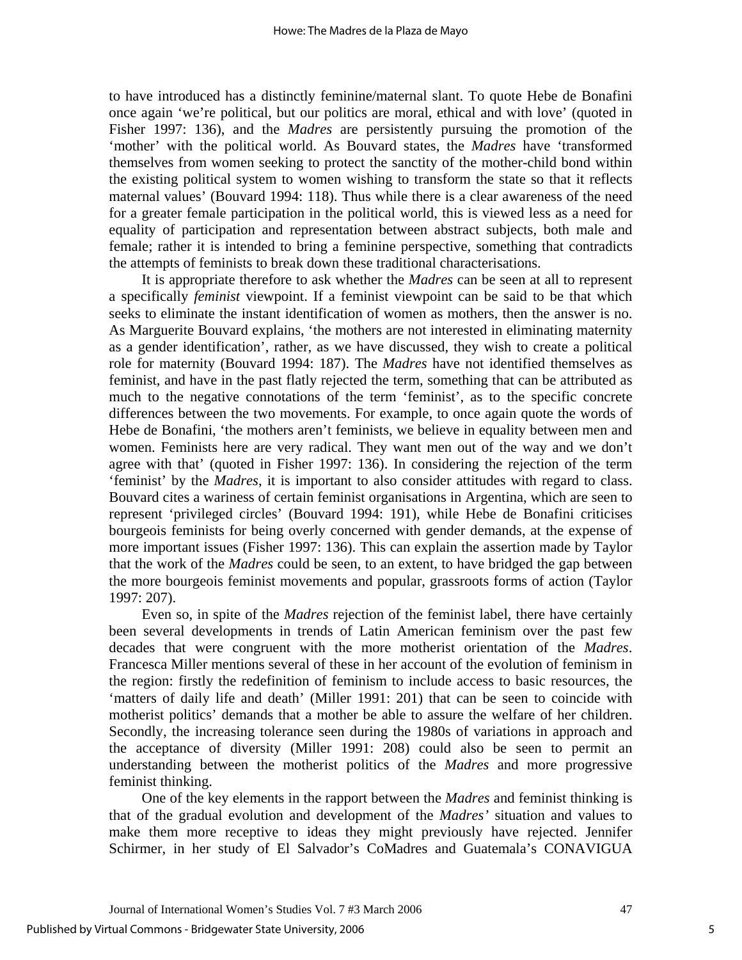to have introduced has a distinctly feminine/maternal slant. To quote Hebe de Bonafini once again 'we're political, but our politics are moral, ethical and with love' (quoted in Fisher 1997: 136), and the *Madres* are persistently pursuing the promotion of the 'mother' with the political world. As Bouvard states, the *Madres* have 'transformed themselves from women seeking to protect the sanctity of the mother-child bond within the existing political system to women wishing to transform the state so that it reflects maternal values' (Bouvard 1994: 118). Thus while there is a clear awareness of the need for a greater female participation in the political world, this is viewed less as a need for equality of participation and representation between abstract subjects, both male and female; rather it is intended to bring a feminine perspective, something that contradicts the attempts of feminists to break down these traditional characterisations.

It is appropriate therefore to ask whether the *Madres* can be seen at all to represent a specifically *feminist* viewpoint. If a feminist viewpoint can be said to be that which seeks to eliminate the instant identification of women as mothers, then the answer is no. As Marguerite Bouvard explains, 'the mothers are not interested in eliminating maternity as a gender identification', rather, as we have discussed, they wish to create a political role for maternity (Bouvard 1994: 187). The *Madres* have not identified themselves as feminist, and have in the past flatly rejected the term, something that can be attributed as much to the negative connotations of the term 'feminist', as to the specific concrete differences between the two movements. For example, to once again quote the words of Hebe de Bonafini, 'the mothers aren't feminists, we believe in equality between men and women. Feminists here are very radical. They want men out of the way and we don't agree with that' (quoted in Fisher 1997: 136). In considering the rejection of the term 'feminist' by the *Madres*, it is important to also consider attitudes with regard to class. Bouvard cites a wariness of certain feminist organisations in Argentina, which are seen to represent 'privileged circles' (Bouvard 1994: 191), while Hebe de Bonafini criticises bourgeois feminists for being overly concerned with gender demands, at the expense of more important issues (Fisher 1997: 136). This can explain the assertion made by Taylor that the work of the *Madres* could be seen, to an extent, to have bridged the gap between the more bourgeois feminist movements and popular, grassroots forms of action (Taylor 1997: 207).

Even so, in spite of the *Madres* rejection of the feminist label, there have certainly been several developments in trends of Latin American feminism over the past few decades that were congruent with the more motherist orientation of the *Madres*. Francesca Miller mentions several of these in her account of the evolution of feminism in the region: firstly the redefinition of feminism to include access to basic resources, the 'matters of daily life and death' (Miller 1991: 201) that can be seen to coincide with motherist politics' demands that a mother be able to assure the welfare of her children. Secondly, the increasing tolerance seen during the 1980s of variations in approach and the acceptance of diversity (Miller 1991: 208) could also be seen to permit an understanding between the motherist politics of the *Madres* and more progressive feminist thinking.

One of the key elements in the rapport between the *Madres* and feminist thinking is that of the gradual evolution and development of the *Madres'* situation and values to make them more receptive to ideas they might previously have rejected. Jennifer Schirmer, in her study of El Salvador's CoMadres and Guatemala's CONAVIGUA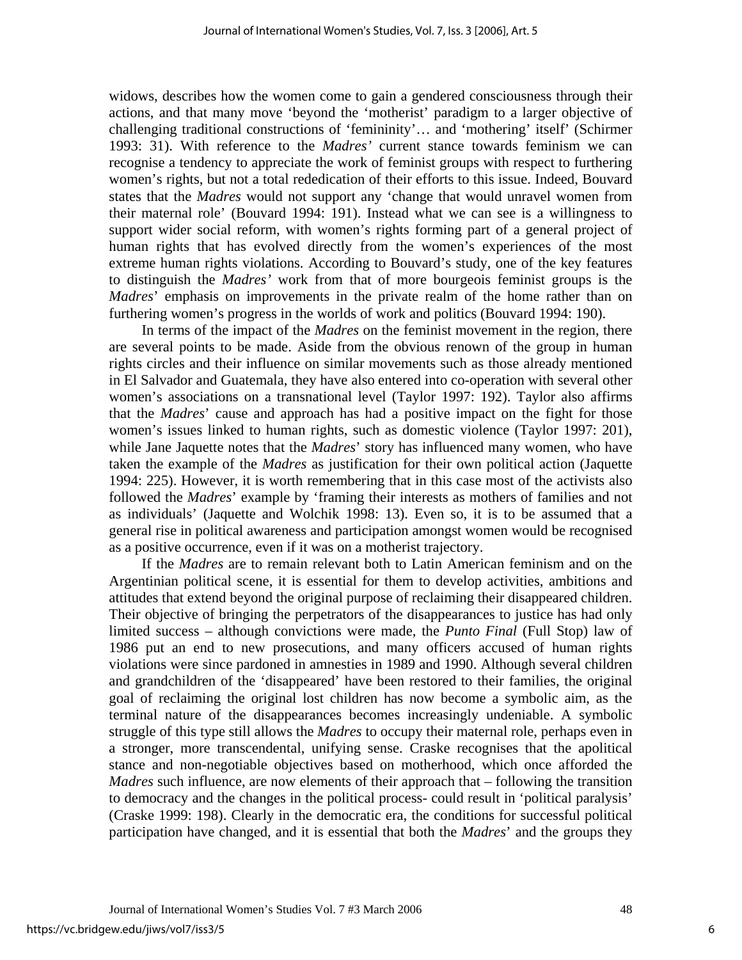widows, describes how the women come to gain a gendered consciousness through their actions, and that many move 'beyond the 'motherist' paradigm to a larger objective of challenging traditional constructions of 'femininity'… and 'mothering' itself' (Schirmer 1993: 31). With reference to the *Madres'* current stance towards feminism we can recognise a tendency to appreciate the work of feminist groups with respect to furthering women's rights, but not a total rededication of their efforts to this issue. Indeed, Bouvard states that the *Madres* would not support any 'change that would unravel women from their maternal role' (Bouvard 1994: 191). Instead what we can see is a willingness to support wider social reform, with women's rights forming part of a general project of human rights that has evolved directly from the women's experiences of the most extreme human rights violations. According to Bouvard's study, one of the key features to distinguish the *Madres'* work from that of more bourgeois feminist groups is the *Madres*' emphasis on improvements in the private realm of the home rather than on furthering women's progress in the worlds of work and politics (Bouvard 1994: 190).

In terms of the impact of the *Madres* on the feminist movement in the region, there are several points to be made. Aside from the obvious renown of the group in human rights circles and their influence on similar movements such as those already mentioned in El Salvador and Guatemala, they have also entered into co-operation with several other women's associations on a transnational level (Taylor 1997: 192). Taylor also affirms that the *Madres*' cause and approach has had a positive impact on the fight for those women's issues linked to human rights, such as domestic violence (Taylor 1997: 201), while Jane Jaquette notes that the *Madres*' story has influenced many women, who have taken the example of the *Madres* as justification for their own political action (Jaquette 1994: 225). However, it is worth remembering that in this case most of the activists also followed the *Madres*' example by 'framing their interests as mothers of families and not as individuals' (Jaquette and Wolchik 1998: 13). Even so, it is to be assumed that a general rise in political awareness and participation amongst women would be recognised as a positive occurrence, even if it was on a motherist trajectory.

If the *Madres* are to remain relevant both to Latin American feminism and on the Argentinian political scene, it is essential for them to develop activities, ambitions and attitudes that extend beyond the original purpose of reclaiming their disappeared children. Their objective of bringing the perpetrators of the disappearances to justice has had only limited success – although convictions were made, the *Punto Final* (Full Stop) law of 1986 put an end to new prosecutions, and many officers accused of human rights violations were since pardoned in amnesties in 1989 and 1990. Although several children and grandchildren of the 'disappeared' have been restored to their families, the original goal of reclaiming the original lost children has now become a symbolic aim, as the terminal nature of the disappearances becomes increasingly undeniable. A symbolic struggle of this type still allows the *Madres* to occupy their maternal role, perhaps even in a stronger, more transcendental, unifying sense. Craske recognises that the apolitical stance and non-negotiable objectives based on motherhood, which once afforded the *Madres* such influence, are now elements of their approach that – following the transition to democracy and the changes in the political process- could result in 'political paralysis' (Craske 1999: 198). Clearly in the democratic era, the conditions for successful political participation have changed, and it is essential that both the *Madres*' and the groups they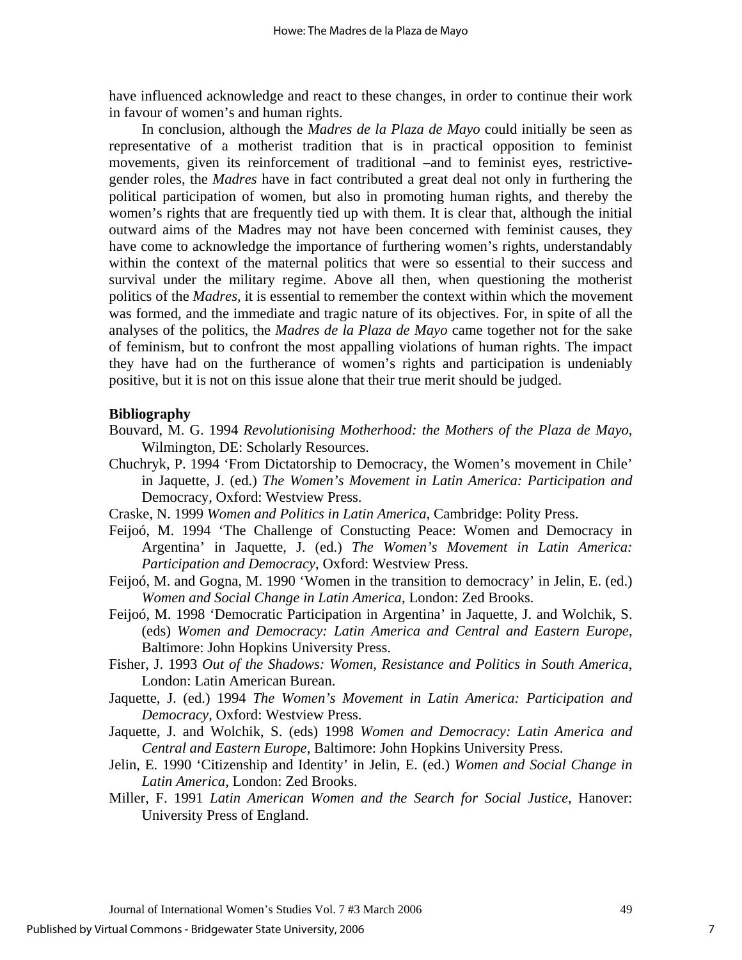have influenced acknowledge and react to these changes, in order to continue their work in favour of women's and human rights.

In conclusion, although the *Madres de la Plaza de Mayo* could initially be seen as representative of a motherist tradition that is in practical opposition to feminist movements, given its reinforcement of traditional –and to feminist eyes, restrictivegender roles, the *Madres* have in fact contributed a great deal not only in furthering the political participation of women, but also in promoting human rights, and thereby the women's rights that are frequently tied up with them. It is clear that, although the initial outward aims of the Madres may not have been concerned with feminist causes, they have come to acknowledge the importance of furthering women's rights, understandably within the context of the maternal politics that were so essential to their success and survival under the military regime. Above all then, when questioning the motherist politics of the *Madres*, it is essential to remember the context within which the movement was formed, and the immediate and tragic nature of its objectives. For, in spite of all the analyses of the politics, the *Madres de la Plaza de Mayo* came together not for the sake of feminism, but to confront the most appalling violations of human rights. The impact they have had on the furtherance of women's rights and participation is undeniably positive, but it is not on this issue alone that their true merit should be judged.

## **Bibliography**

- Bouvard, M. G. 1994 *Revolutionising Motherhood: the Mothers of the Plaza de Mayo*, Wilmington, DE: Scholarly Resources.
- Chuchryk, P. 1994 'From Dictatorship to Democracy, the Women's movement in Chile' in Jaquette, J. (ed.) *The Women's Movement in Latin America: Participation and*  Democracy, Oxford: Westview Press.
- Craske, N. 1999 *Women and Politics in Latin America*, Cambridge: Polity Press.
- Feijoó, M. 1994 'The Challenge of Constucting Peace: Women and Democracy in Argentina' in Jaquette, J. (ed.) *The Women's Movement in Latin America: Participation and Democracy*, Oxford: Westview Press.
- Feijoó, M. and Gogna, M. 1990 'Women in the transition to democracy' in Jelin, E. (ed.) *Women and Social Change in Latin America*, London: Zed Brooks.
- Feijoó, M. 1998 'Democratic Participation in Argentina' in Jaquette, J. and Wolchik, S. (eds) *Women and Democracy: Latin America and Central and Eastern Europe*, Baltimore: John Hopkins University Press.
- Fisher, J. 1993 *Out of the Shadows: Women, Resistance and Politics in South America*, London: Latin American Burean.
- Jaquette, J. (ed.) 1994 *The Women's Movement in Latin America: Participation and Democracy*, Oxford: Westview Press.
- Jaquette, J. and Wolchik, S. (eds) 1998 *Women and Democracy: Latin America and Central and Eastern Europe*, Baltimore: John Hopkins University Press.
- Jelin, E. 1990 'Citizenship and Identity' in Jelin, E. (ed.) *Women and Social Change in Latin America*, London: Zed Brooks.
- Miller, F. 1991 *Latin American Women and the Search for Social Justice*, Hanover: University Press of England.